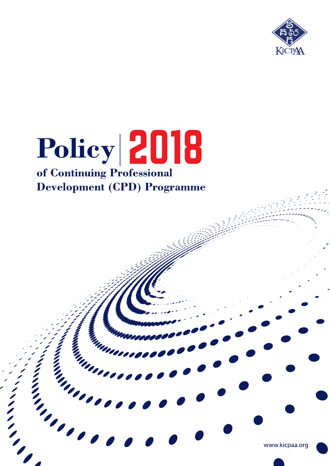

# Policy 2018 of Continuing Professional **Development (CPD) Programme**

**MANAGES** 

interesting on the contract of the contract of the contract of the contract of the contract of the contract of

and a little of the contract of

www.kicpaa.org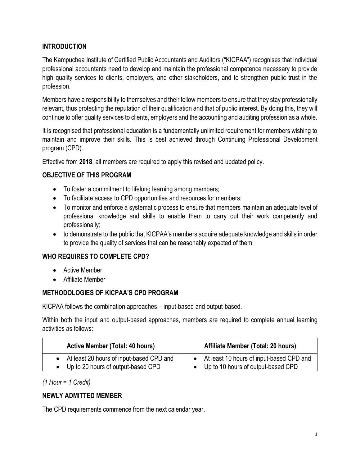### **INTRODUCTION**

The Kampuchea Institute of Certified Public Accountants and Auditors ("KICPAA") recognises that individual professional accountants need to develop and maintain the professional competence necessary to provide high quality services to clients, employers, and other stakeholders, and to strengthen public trust in the profession.

Members have a responsibility to themselves and their fellow members to ensure that they stay professionally relevant, thus protecting the reputation of their qualification and that of public interest. By doing this, they will continue to offer quality services to clients, employers and the accounting and auditing profession as a whole.

It is recognised that professional education is a fundamentally unlimited requirement for members wishing to maintain and improve their skills. This is best achieved through Continuing Professional Development program (CPD).

Effective from **2018**, all members are required to apply this revised and updated policy.

#### **OBJECTIVE OF THIS PROGRAM**

- To foster a commitment to lifelong learning among members;
- To facilitate access to CPD opportunities and resources for members;
- To monitor and enforce a systematic process to ensure that members maintain an adequate level of professional knowledge and skills to enable them to carry out their work competently and professionally;
- to demonstrate to the public that KICPAA's members acquire adequate knowledge and skills in order to provide the quality of services that can be reasonably expected of them.

#### **WHO REQUIRES TO COMPLETE CPD?**

- Active Member
- Affiliate Member

#### **METHODOLOGIES OF KICPAA'S CPD PROGRAM**

KICPAA follows the combination approaches – input-based and output-based.

Within both the input and output-based approaches, members are required to complete annual learning activities as follows:

| <b>Active Member (Total: 40 hours)</b>   | Affiliate Member (Total: 20 hours)         |
|------------------------------------------|--------------------------------------------|
| At least 20 hours of input-based CPD and | • At least 10 hours of input-based CPD and |
| Up to 20 hours of output-based CPD       | • Up to 10 hours of output-based CPD       |

#### *(1 Hour = 1 Credit)*

# **NEWLY ADMITTED MEMBER**

The CPD requirements commence from the next calendar year.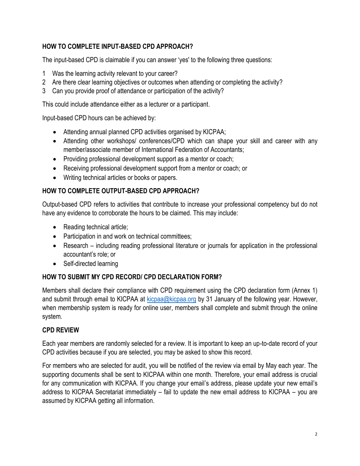# **HOW TO COMPLETE INPUT-BASED CPD APPROACH?**

The input-based CPD is claimable if you can answer 'yes' to the following three questions:

- 1 Was the learning activity relevant to your career?
- 2 Are there clear learning objectives or outcomes when attending or completing the activity?
- 3 Can you provide proof of attendance or participation of the activity?

This could include attendance either as a lecturer or a participant.

Input-based CPD hours can be achieved by:

- Attending annual planned CPD activities organised by KICPAA;
- Attending other workshops/ conferences/CPD which can shape your skill and career with any member/associate member of International Federation of Accountants;
- Providing professional development support as a mentor or coach;
- Receiving professional development support from a mentor or coach; or
- Writing technical articles or books or papers.

#### **HOW TO COMPLETE OUTPUT-BASED CPD APPROACH?**

Output-based CPD refers to activities that contribute to increase your professional competency but do not have any evidence to corroborate the hours to be claimed. This may include:

- Reading technical article;
- Participation in and work on technical committees;
- Research including reading professional literature or journals for application in the professional accountant's role; or
- Self-directed learning

#### **HOW TO SUBMIT MY CPD RECORD/ CPD DECLARATION FORM?**

Members shall declare their compliance with CPD requirement using the CPD declaration form (Annex 1) and submit through email to KICPAA at kicpaa@kicpaa.org by 31 January of the following year. However, when membership system is ready for online user, members shall complete and submit through the online system.

#### **CPD REVIEW**

Each year members are randomly selected for a review. It is important to keep an up-to-date record of your CPD activities because if you are selected, you may be asked to show this record.

For members who are selected for audit, you will be notified of the review via email by May each year. The supporting documents shall be sent to KICPAA within one month. Therefore, your email address is crucial for any communication with KICPAA. If you change your email's address, please update your new email's address to KICPAA Secretariat immediately – fail to update the new email address to KICPAA – you are assumed by KICPAA getting all information.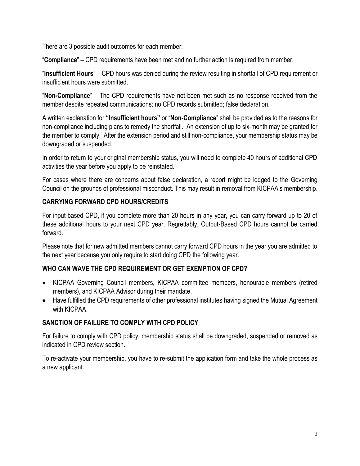There are 3 possible audit outcomes for each member:

"**Compliance**" – CPD requirements have been met and no further action is required from member.

"**Insufficient Hours**" – CPD hours was denied during the review resulting in shortfall of CPD requirement or insufficient hours were submitted.

"**Non-Compliance**" – The CPD requirements have not been met such as no response received from the member despite repeated communications; no CPD records submitted; false declaration.

A written explanation for **"Insufficient hours"** or "**Non-Compliance**" shall be provided as to the reasons for non-compliance including plans to remedy the shortfall. An extension of up to six-month may be granted for the member to comply. After the extension period and still non-compliance, your membership status may be downgraded or suspended.

In order to return to your original membership status, you will need to complete 40 hours of additional CPD activities the year before you apply to be reinstated.

For cases where there are concerns about false declaration, a report might be lodged to the Governing Council on the grounds of professional misconduct. This may result in removal from KICPAA's membership.

#### **CARRYING FORWARD CPD HOURS/CREDITS**

For input-based CPD, if you complete more than 20 hours in any year, you can carry forward up to 20 of these additional hours to your next CPD year. Regrettably, Output-Based CPD hours cannot be carried forward.

Please note that for new admitted members cannot carry forward CPD hours in the year you are admitted to the next year because you only require to start doing CPD the following year.

#### **WHO CAN WAVE THE CPD REQUIREMENT OR GET EXEMPTION OF CPD?**

- KICPAA Governing Council members, KICPAA committee members, honourable members (retired members), and KICPAA Advisor during their mandate.
- Have fulfilled the CPD requirements of other professional institutes having signed the Mutual Agreement with KICPAA.

#### **SANCTION OF FAILURE TO COMPLY WITH CPD POLICY**

For failure to comply with CPD policy, membership status shall be downgraded, suspended or removed as indicated in CPD review section.

To re-activate your membership, you have to re-submit the application form and take the whole process as a new applicant.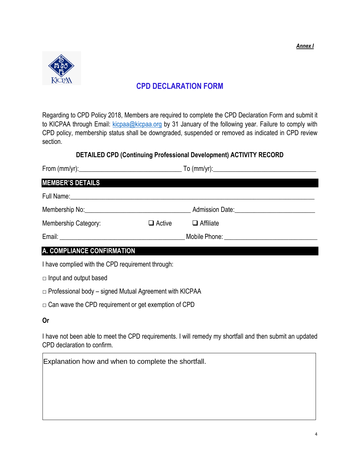*Annex I*



# **CPD DECLARATION FORM**

Regarding to CPD Policy 2018, Members are required to complete the CPD Declaration Form and submit it to KICPAA through Email: [kicpaa@kicpaa.org](mailto:kicpaa@kicpaa.org) by 31 January of the following year. Failure to comply with CPD policy, membership status shall be downgraded, suspended or removed as indicated in CPD review section.

#### **DETAILED CPD (Continuing Professional Development) ACTIVITY RECORD**

| <b>MEMBER'S DETAILS</b>                  |               |                                 |
|------------------------------------------|---------------|---------------------------------|
| Full Name: <u>Contract Communication</u> |               |                                 |
|                                          |               | Admission Date: Admission Date: |
| Membership Category:                     | $\Box$ Active | $\Box$ Affiliate                |

Email: \_\_\_\_\_\_\_\_\_\_\_\_\_\_\_\_\_\_\_\_\_\_\_\_\_\_\_\_\_\_\_\_\_\_\_\_\_\_\_ Mobile Phone: \_\_\_\_\_\_\_\_\_\_\_\_\_\_\_\_\_\_\_\_\_\_\_\_\_\_\_\_\_

# **A. COMPLIANCE CONFIRMATION**

I have complied with the CPD requirement through:

 $\Box$  Input and output based

- $\Box$  Professional body signed Mutual Agreement with KICPAA
- $\square$  Can wave the CPD requirement or get exemption of CPD

#### **Or**

I have not been able to meet the CPD requirements. I will remedy my shortfall and then submit an updated CPD declaration to confirm.

Explanation how and when to complete the shortfall.